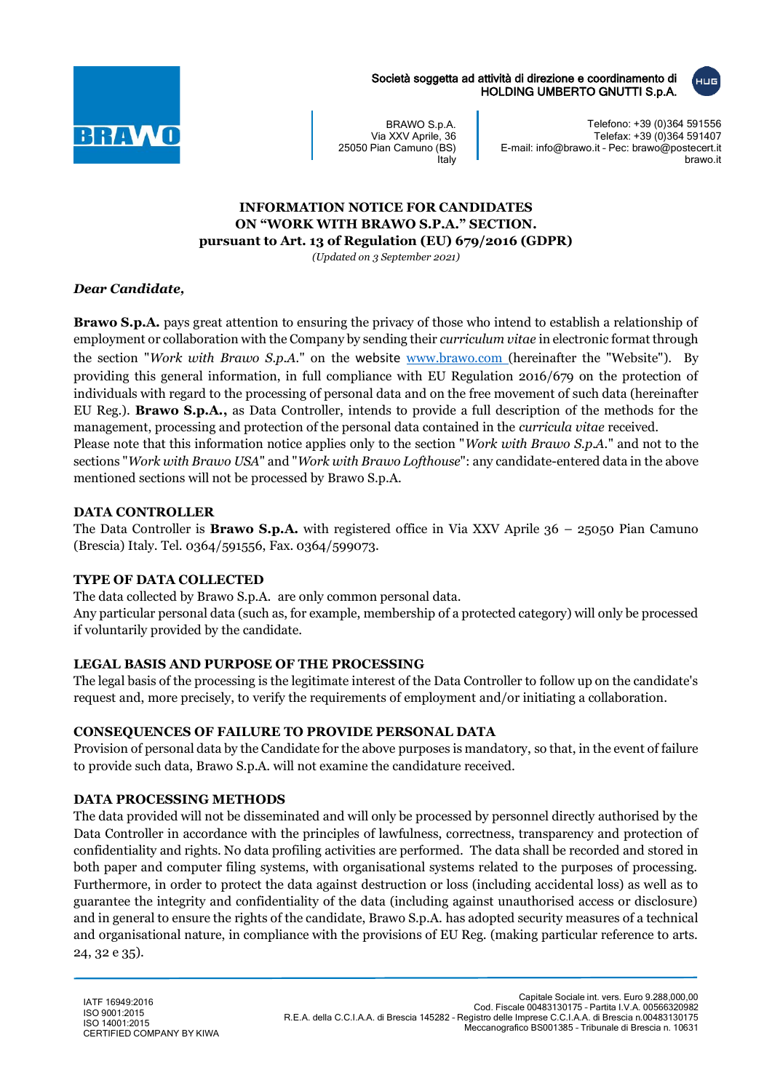

Società soggetta ad attività di direzione e coordinamento di HOLDING UMBERTO GNUTTI S.p.A.

BRAWO S.p.A. Via XXV Aprile, 36 25050 Pian Camuno (BS) Italy

Telefono: +39 (0)364 591556 Telefax: +39 (0)364 591407 E-mail: info@brawo.it – Pec: brawo@postecert.it brawo.it

HUG

## **INFORMATION NOTICE FOR CANDIDATES ON "WORK WITH BRAWO S.P.A." SECTION. pursuant to Art. 13 of Regulation (EU) 679/2016 (GDPR)**

*(Updated on 3 September 2021)*

## *Dear Candidate,*

**Brawo S.p.A.** pays great attention to ensuring the privacy of those who intend to establish a relationship of employment or collaboration with the Company by sending their *curriculum vitae* in electronic format through the section "*Work with Brawo S.p.A.*" on the website [www.brawo.com](http://www.brawo.com/) (hereinafter the "Website"). By providing this general information, in full compliance with EU Regulation 2016/679 on the protection of individuals with regard to the processing of personal data and on the free movement of such data (hereinafter EU Reg.). **Brawo S.p.A.,** as Data Controller, intends to provide a full description of the methods for the management, processing and protection of the personal data contained in the *curricula vitae* received. Please note that this information notice applies only to the section "*Work with Brawo S.p.A.*" and not to the sections "*Work with Brawo USA*" and "*Work with Brawo Lofthouse*": any candidate-entered data in the above mentioned sections will not be processed by Brawo S.p.A.

## **DATA CONTROLLER**

The Data Controller is **Brawo S.p.A.** with registered office in Via XXV Aprile 36 – 25050 Pian Camuno (Brescia) Italy. Tel. 0364/591556, Fax. 0364/599073.

#### **TYPE OF DATA COLLECTED**

The data collected by Brawo S.p.A. are only common personal data. Any particular personal data (such as, for example, membership of a protected category) will only be processed if voluntarily provided by the candidate.

#### **LEGAL BASIS AND PURPOSE OF THE PROCESSING**

The legal basis of the processing is the legitimate interest of the Data Controller to follow up on the candidate's request and, more precisely, to verify the requirements of employment and/or initiating a collaboration.

#### **CONSEQUENCES OF FAILURE TO PROVIDE PERSONAL DATA**

Provision of personal data by the Candidate for the above purposes is mandatory, so that, in the event of failure to provide such data, Brawo S.p.A. will not examine the candidature received.

#### **DATA PROCESSING METHODS**

The data provided will not be disseminated and will only be processed by personnel directly authorised by the Data Controller in accordance with the principles of lawfulness, correctness, transparency and protection of confidentiality and rights. No data profiling activities are performed. The data shall be recorded and stored in both paper and computer filing systems, with organisational systems related to the purposes of processing. Furthermore, in order to protect the data against destruction or loss (including accidental loss) as well as to guarantee the integrity and confidentiality of the data (including against unauthorised access or disclosure) and in general to ensure the rights of the candidate, Brawo S.p.A. has adopted security measures of a technical and organisational nature, in compliance with the provisions of EU Reg. (making particular reference to arts. 24, 32 e 35).